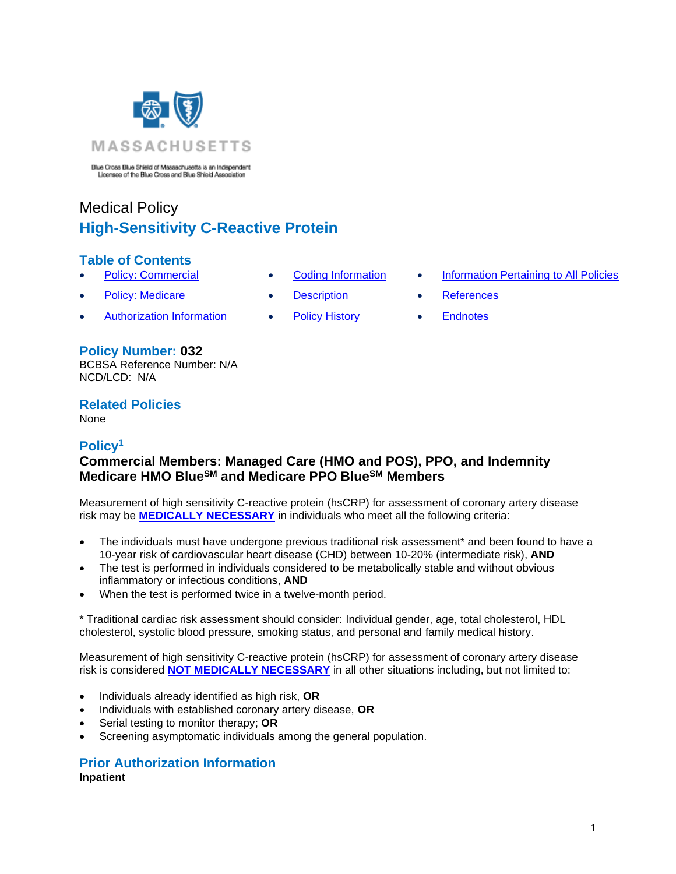

Blue Cross Blue Shield of Massachusetts is an Independent<br>Licensee of the Blue Cross and Blue Shield Association

# Medical Policy **High-Sensitivity C-Reactive Protein**

## **Table of Contents**

- 
- 
- [Authorization Information](#page-1-1) [Policy History](#page-4-2) [Endnotes](#page-7-0)

#### **Policy Number: 032** BCBSA Reference Number: N/A NCD/LCD: N/A

**Related Policies**  None

# <span id="page-0-0"></span>**Policy<sup>1</sup>**

# **Commercial Members: Managed Care (HMO and POS), PPO, and Indemnity Medicare HMO BlueSM and Medicare PPO BlueSM Members**

Measurement of high sensitivity C-reactive protein (hsCRP) for assessment of coronary artery disease risk may be **[MEDICALLY NECESSARY](https://www.bluecrossma.org/medical-policies/sites/g/files/csphws2091/files/acquiadam-assets/Definition%20of%20Med%20Nec%20Inv%20Not%20Med%20Nec%20prn.pdf#page=1)** in individuals who meet all the following criteria:

- The individuals must have undergone previous traditional risk assessment\* and been found to have a 10-year risk of cardiovascular heart disease (CHD) between 10-20% (intermediate risk), **AND**
- The test is performed in individuals considered to be metabolically stable and without obvious inflammatory or infectious conditions, **AND**
- When the test is performed twice in a twelve-month period.

\* Traditional cardiac risk assessment should consider: Individual gender, age, total cholesterol, HDL cholesterol, systolic blood pressure, smoking status, and personal and family medical history.

Measurement of high sensitivity C-reactive protein (hsCRP) for assessment of coronary artery disease risk is considered **[NOT MEDICALLY NECESSARY](https://www.bluecrossma.org/medical-policies/sites/g/files/csphws2091/files/acquiadam-assets/Definition%20of%20Med%20Nec%20Inv%20Not%20Med%20Nec%20prn.pdf#page=1)** in all other situations including, but not limited to:

- Individuals already identified as high risk, **OR**
- Individuals with established coronary artery disease, **OR**
- Serial testing to monitor therapy; **OR**
- Screening asymptomatic individuals among the general population.

#### **Prior Authorization Information Inpatient**

- 
- 
- 
- [Policy: Commercial](#page-0-0) [Coding Information](#page-1-0) [Information Pertaining to All Policies](#page-4-0)
	- **[Policy: Medicare](#page-0-0) [Description](#page-3-0) [References](#page-4-1)** 
		-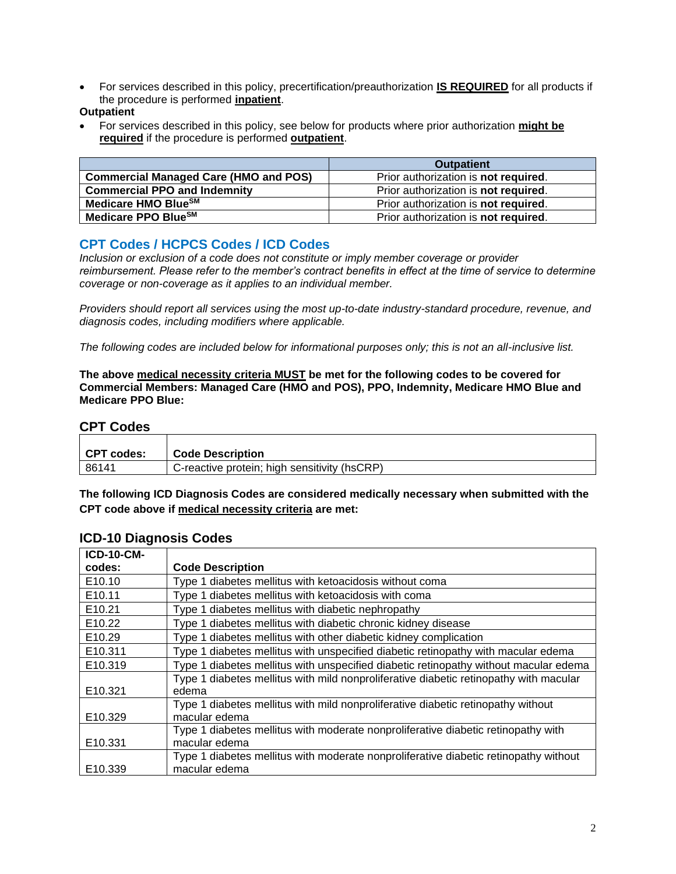<span id="page-1-1"></span>• For services described in this policy, precertification/preauthorization **IS REQUIRED** for all products if the procedure is performed **inpatient**.

#### **Outpatient**

• For services described in this policy, see below for products where prior authorization **might be required** if the procedure is performed **outpatient**.

|                                              | <b>Outpatient</b>                    |
|----------------------------------------------|--------------------------------------|
| <b>Commercial Managed Care (HMO and POS)</b> | Prior authorization is not required. |
| <b>Commercial PPO and Indemnity</b>          | Prior authorization is not required. |
| Medicare HMO BlueSM                          | Prior authorization is not required. |
| Medicare PPO BlueSM                          | Prior authorization is not required. |

## <span id="page-1-0"></span>**CPT Codes / HCPCS Codes / ICD Codes**

*Inclusion or exclusion of a code does not constitute or imply member coverage or provider reimbursement. Please refer to the member's contract benefits in effect at the time of service to determine coverage or non-coverage as it applies to an individual member.*

*Providers should report all services using the most up-to-date industry-standard procedure, revenue, and diagnosis codes, including modifiers where applicable.*

*The following codes are included below for informational purposes only; this is not an all-inclusive list.*

**The above medical necessity criteria MUST be met for the following codes to be covered for Commercial Members: Managed Care (HMO and POS), PPO, Indemnity, Medicare HMO Blue and Medicare PPO Blue:**

#### **CPT Codes**

| CPT codes: | <b>Code Description</b>                      |
|------------|----------------------------------------------|
| 86141      | C-reactive protein; high sensitivity (hsCRP) |

**The following ICD Diagnosis Codes are considered medically necessary when submitted with the CPT code above if medical necessity criteria are met:**

| <b>ICD-10-CM-</b>  |                                                                                       |
|--------------------|---------------------------------------------------------------------------------------|
| codes:             | <b>Code Description</b>                                                               |
| E10.10             | Type 1 diabetes mellitus with ketoacidosis without coma                               |
| E10.11             | Type 1 diabetes mellitus with ketoacidosis with coma                                  |
| E10.21             | Type 1 diabetes mellitus with diabetic nephropathy                                    |
| E10.22             | Type 1 diabetes mellitus with diabetic chronic kidney disease                         |
| E <sub>10.29</sub> | Type 1 diabetes mellitus with other diabetic kidney complication                      |
| E10.311            | Type 1 diabetes mellitus with unspecified diabetic retinopathy with macular edema     |
| E10.319            | Type 1 diabetes mellitus with unspecified diabetic retinopathy without macular edema  |
|                    | Type 1 diabetes mellitus with mild nonproliferative diabetic retinopathy with macular |
| E10.321            | edema                                                                                 |
|                    | Type 1 diabetes mellitus with mild nonproliferative diabetic retinopathy without      |
| E10.329            | macular edema                                                                         |
|                    | Type 1 diabetes mellitus with moderate nonproliferative diabetic retinopathy with     |
| E10.331            | macular edema                                                                         |
|                    | Type 1 diabetes mellitus with moderate nonproliferative diabetic retinopathy without  |
| E10.339            | macular edema                                                                         |

### **ICD-10 Diagnosis Codes**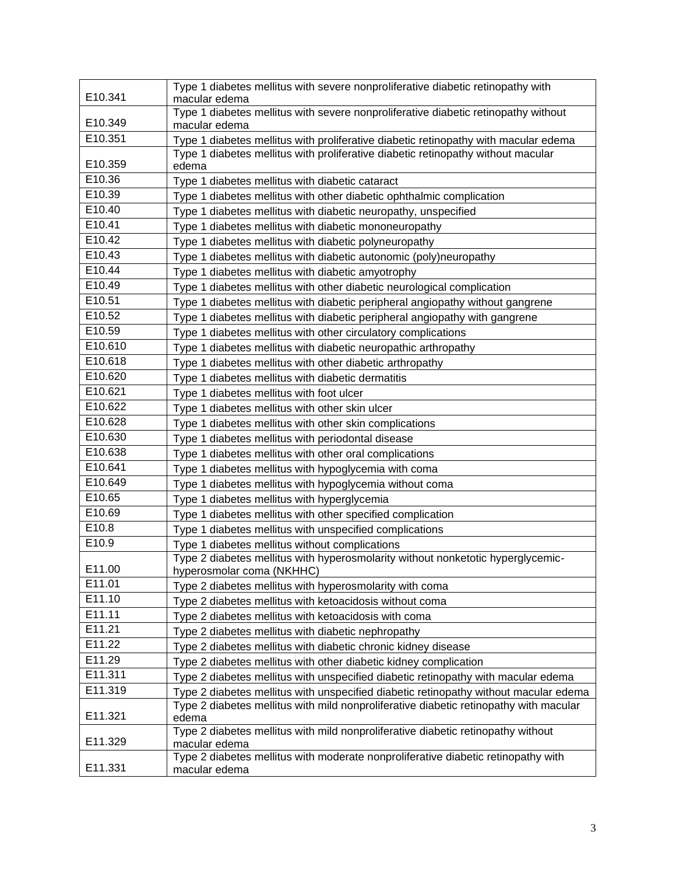| E10.341 | Type 1 diabetes mellitus with severe nonproliferative diabetic retinopathy with<br>macular edema             |
|---------|--------------------------------------------------------------------------------------------------------------|
| E10.349 | Type 1 diabetes mellitus with severe nonproliferative diabetic retinopathy without<br>macular edema          |
| E10.351 | Type 1 diabetes mellitus with proliferative diabetic retinopathy with macular edema                          |
| E10.359 | Type 1 diabetes mellitus with proliferative diabetic retinopathy without macular<br>edema                    |
| E10.36  | Type 1 diabetes mellitus with diabetic cataract                                                              |
| E10.39  | Type 1 diabetes mellitus with other diabetic ophthalmic complication                                         |
| E10.40  | Type 1 diabetes mellitus with diabetic neuropathy, unspecified                                               |
| E10.41  | Type 1 diabetes mellitus with diabetic mononeuropathy                                                        |
| E10.42  | Type 1 diabetes mellitus with diabetic polyneuropathy                                                        |
| E10.43  | Type 1 diabetes mellitus with diabetic autonomic (poly)neuropathy                                            |
| E10.44  | Type 1 diabetes mellitus with diabetic amyotrophy                                                            |
| E10.49  | Type 1 diabetes mellitus with other diabetic neurological complication                                       |
| E10.51  | Type 1 diabetes mellitus with diabetic peripheral angiopathy without gangrene                                |
| E10.52  | Type 1 diabetes mellitus with diabetic peripheral angiopathy with gangrene                                   |
| E10.59  | Type 1 diabetes mellitus with other circulatory complications                                                |
| E10.610 | Type 1 diabetes mellitus with diabetic neuropathic arthropathy                                               |
| E10.618 | Type 1 diabetes mellitus with other diabetic arthropathy                                                     |
| E10.620 | Type 1 diabetes mellitus with diabetic dermatitis                                                            |
| E10.621 | Type 1 diabetes mellitus with foot ulcer                                                                     |
| E10.622 | Type 1 diabetes mellitus with other skin ulcer                                                               |
| E10.628 | Type 1 diabetes mellitus with other skin complications                                                       |
| E10.630 | Type 1 diabetes mellitus with periodontal disease                                                            |
| E10.638 | Type 1 diabetes mellitus with other oral complications                                                       |
| E10.641 | Type 1 diabetes mellitus with hypoglycemia with coma                                                         |
| E10.649 | Type 1 diabetes mellitus with hypoglycemia without coma                                                      |
| E10.65  | Type 1 diabetes mellitus with hyperglycemia                                                                  |
| E10.69  | Type 1 diabetes mellitus with other specified complication                                                   |
| E10.8   | Type 1 diabetes mellitus with unspecified complications                                                      |
| E10.9   | Type 1 diabetes mellitus without complications                                                               |
| E11.00  | Type 2 diabetes mellitus with hyperosmolarity without nonketotic hyperglycemic-<br>hyperosmolar coma (NKHHC) |
| E11.01  | Type 2 diabetes mellitus with hyperosmolarity with coma                                                      |
| E11.10  | Type 2 diabetes mellitus with ketoacidosis without coma                                                      |
| E11.11  | Type 2 diabetes mellitus with ketoacidosis with coma                                                         |
| E11.21  | Type 2 diabetes mellitus with diabetic nephropathy                                                           |
| E11.22  | Type 2 diabetes mellitus with diabetic chronic kidney disease                                                |
| E11.29  | Type 2 diabetes mellitus with other diabetic kidney complication                                             |
| E11.311 | Type 2 diabetes mellitus with unspecified diabetic retinopathy with macular edema                            |
| E11.319 | Type 2 diabetes mellitus with unspecified diabetic retinopathy without macular edema                         |
| E11.321 | Type 2 diabetes mellitus with mild nonproliferative diabetic retinopathy with macular<br>edema               |
| E11.329 | Type 2 diabetes mellitus with mild nonproliferative diabetic retinopathy without<br>macular edema            |
| E11.331 | Type 2 diabetes mellitus with moderate nonproliferative diabetic retinopathy with<br>macular edema           |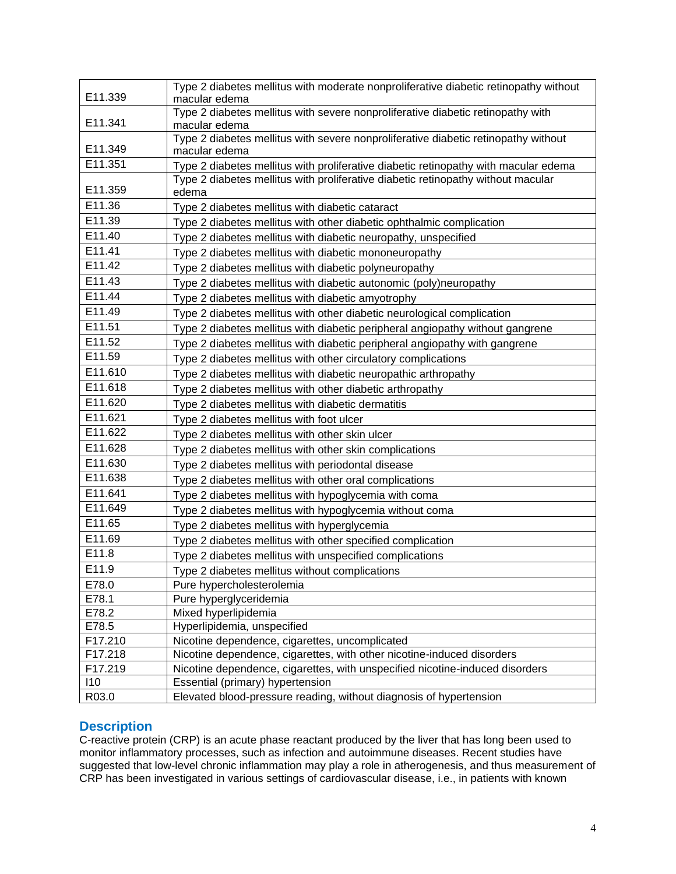| E11.339 | Type 2 diabetes mellitus with moderate nonproliferative diabetic retinopathy without<br>macular edema |
|---------|-------------------------------------------------------------------------------------------------------|
|         | Type 2 diabetes mellitus with severe nonproliferative diabetic retinopathy with                       |
| E11.341 | macular edema                                                                                         |
|         | Type 2 diabetes mellitus with severe nonproliferative diabetic retinopathy without                    |
| E11.349 | macular edema                                                                                         |
| E11.351 | Type 2 diabetes mellitus with proliferative diabetic retinopathy with macular edema                   |
| E11.359 | Type 2 diabetes mellitus with proliferative diabetic retinopathy without macular                      |
| E11.36  | edema                                                                                                 |
| E11.39  | Type 2 diabetes mellitus with diabetic cataract                                                       |
|         | Type 2 diabetes mellitus with other diabetic ophthalmic complication                                  |
| E11.40  | Type 2 diabetes mellitus with diabetic neuropathy, unspecified                                        |
| E11.41  | Type 2 diabetes mellitus with diabetic mononeuropathy                                                 |
| E11.42  | Type 2 diabetes mellitus with diabetic polyneuropathy                                                 |
| E11.43  | Type 2 diabetes mellitus with diabetic autonomic (poly)neuropathy                                     |
| E11.44  | Type 2 diabetes mellitus with diabetic amyotrophy                                                     |
| E11.49  | Type 2 diabetes mellitus with other diabetic neurological complication                                |
| E11.51  | Type 2 diabetes mellitus with diabetic peripheral angiopathy without gangrene                         |
| E11.52  | Type 2 diabetes mellitus with diabetic peripheral angiopathy with gangrene                            |
| E11.59  | Type 2 diabetes mellitus with other circulatory complications                                         |
| E11.610 | Type 2 diabetes mellitus with diabetic neuropathic arthropathy                                        |
| E11.618 | Type 2 diabetes mellitus with other diabetic arthropathy                                              |
| E11.620 | Type 2 diabetes mellitus with diabetic dermatitis                                                     |
| E11.621 | Type 2 diabetes mellitus with foot ulcer                                                              |
| E11.622 | Type 2 diabetes mellitus with other skin ulcer                                                        |
| E11.628 | Type 2 diabetes mellitus with other skin complications                                                |
| E11.630 | Type 2 diabetes mellitus with periodontal disease                                                     |
| E11.638 | Type 2 diabetes mellitus with other oral complications                                                |
| E11.641 | Type 2 diabetes mellitus with hypoglycemia with coma                                                  |
| E11.649 | Type 2 diabetes mellitus with hypoglycemia without coma                                               |
| E11.65  | Type 2 diabetes mellitus with hyperglycemia                                                           |
| E11.69  | Type 2 diabetes mellitus with other specified complication                                            |
| E11.8   | Type 2 diabetes mellitus with unspecified complications                                               |
| E11.9   | Type 2 diabetes mellitus without complications                                                        |
| E78.0   | Pure hypercholesterolemia                                                                             |
| E78.1   | Pure hyperglyceridemia                                                                                |
| E78.2   | Mixed hyperlipidemia                                                                                  |
| E78.5   | Hyperlipidemia, unspecified                                                                           |
| F17.210 | Nicotine dependence, cigarettes, uncomplicated                                                        |
| F17.218 | Nicotine dependence, cigarettes, with other nicotine-induced disorders                                |
| F17.219 | Nicotine dependence, cigarettes, with unspecified nicotine-induced disorders                          |
| 110     | Essential (primary) hypertension                                                                      |
| R03.0   | Elevated blood-pressure reading, without diagnosis of hypertension                                    |

### <span id="page-3-0"></span>**Description**

C-reactive protein (CRP) is an acute phase reactant produced by the liver that has long been used to monitor inflammatory processes, such as infection and autoimmune diseases. Recent studies have suggested that low-level chronic inflammation may play a role in atherogenesis, and thus measurement of CRP has been investigated in various settings of cardiovascular disease, i.e., in patients with known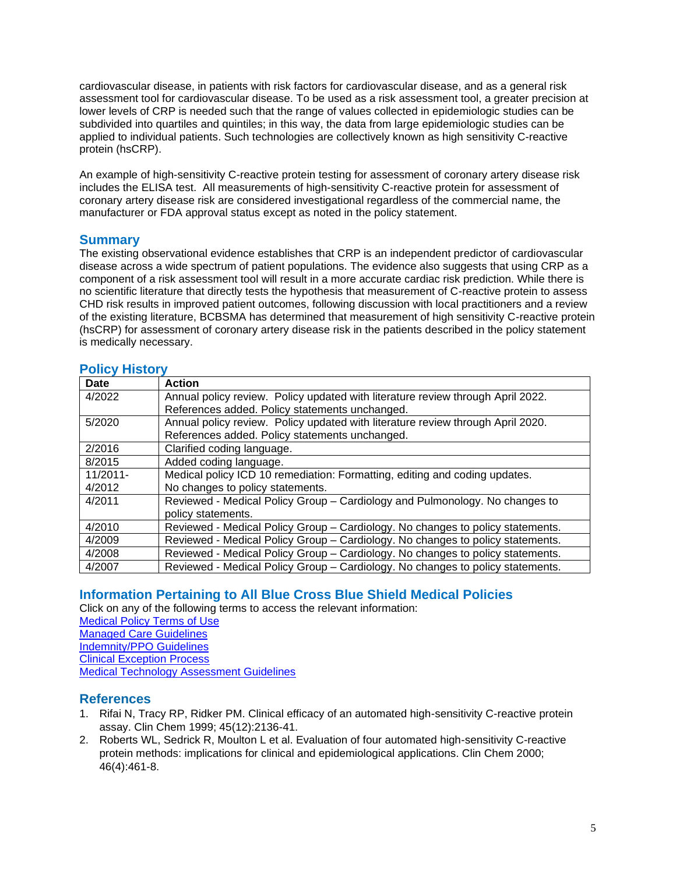cardiovascular disease, in patients with risk factors for cardiovascular disease, and as a general risk assessment tool for cardiovascular disease. To be used as a risk assessment tool, a greater precision at lower levels of CRP is needed such that the range of values collected in epidemiologic studies can be subdivided into quartiles and quintiles; in this way, the data from large epidemiologic studies can be applied to individual patients. Such technologies are collectively known as high sensitivity C-reactive protein (hsCRP).

An example of high-sensitivity C-reactive protein testing for assessment of coronary artery disease risk includes the ELISA test. All measurements of high-sensitivity C-reactive protein for assessment of coronary artery disease risk are considered investigational regardless of the commercial name, the manufacturer or FDA approval status except as noted in the policy statement.

### **Summary**

The existing observational evidence establishes that CRP is an independent predictor of cardiovascular disease across a wide spectrum of patient populations. The evidence also suggests that using CRP as a component of a risk assessment tool will result in a more accurate cardiac risk prediction. While there is no scientific literature that directly tests the hypothesis that measurement of C-reactive protein to assess CHD risk results in improved patient outcomes, following discussion with local practitioners and a review of the existing literature, BCBSMA has determined that measurement of high sensitivity C-reactive protein (hsCRP) for assessment of coronary artery disease risk in the patients described in the policy statement is medically necessary.

## <span id="page-4-2"></span>**Policy History**

| Date        | <b>Action</b>                                                                   |
|-------------|---------------------------------------------------------------------------------|
| 4/2022      | Annual policy review. Policy updated with literature review through April 2022. |
|             | References added. Policy statements unchanged.                                  |
| 5/2020      | Annual policy review. Policy updated with literature review through April 2020. |
|             | References added. Policy statements unchanged.                                  |
| 2/2016      | Clarified coding language.                                                      |
| 8/2015      | Added coding language.                                                          |
| $11/2011 -$ | Medical policy ICD 10 remediation: Formatting, editing and coding updates.      |
| 4/2012      | No changes to policy statements.                                                |
| 4/2011      | Reviewed - Medical Policy Group - Cardiology and Pulmonology. No changes to     |
|             | policy statements.                                                              |
| 4/2010      | Reviewed - Medical Policy Group - Cardiology. No changes to policy statements.  |
| 4/2009      | Reviewed - Medical Policy Group - Cardiology. No changes to policy statements.  |
| 4/2008      | Reviewed - Medical Policy Group - Cardiology. No changes to policy statements.  |
| 4/2007      | Reviewed - Medical Policy Group - Cardiology. No changes to policy statements.  |

# <span id="page-4-0"></span>**Information Pertaining to All Blue Cross Blue Shield Medical Policies**

Click on any of the following terms to access the relevant information: [Medical Policy Terms of Use](http://www.bluecrossma.org/medical-policies/sites/g/files/csphws2091/files/acquiadam-assets/Medical_Policy_Terms_of_Use_prn.pdf) [Managed Care Guidelines](http://www.bluecrossma.org/medical-policies/sites/g/files/csphws2091/files/acquiadam-assets/Managed_Care_Guidelines_prn.pdf) [Indemnity/PPO Guidelines](http://www.bluecrossma.org/medical-policies/sites/g/files/csphws2091/files/acquiadam-assets/Indemnity_and_PPO_Guidelines_prn.pdf) [Clinical Exception Process](http://www.bluecrossma.org/medical-policies/sites/g/files/csphws2091/files/acquiadam-assets/Clinical_Exception_Process_prn.pdf) [Medical Technology Assessment Guidelines](http://www.bluecrossma.org/medical-policies/sites/g/files/csphws2091/files/acquiadam-assets/Medical_Technology_Assessment_Guidelines_prn.pdf)

### <span id="page-4-1"></span>**References**

- 1. Rifai N, Tracy RP, Ridker PM. Clinical efficacy of an automated high-sensitivity C-reactive protein assay. Clin Chem 1999; 45(12):2136-41.
- 2. Roberts WL, Sedrick R, Moulton L et al. Evaluation of four automated high-sensitivity C-reactive protein methods: implications for clinical and epidemiological applications. Clin Chem 2000; 46(4):461-8.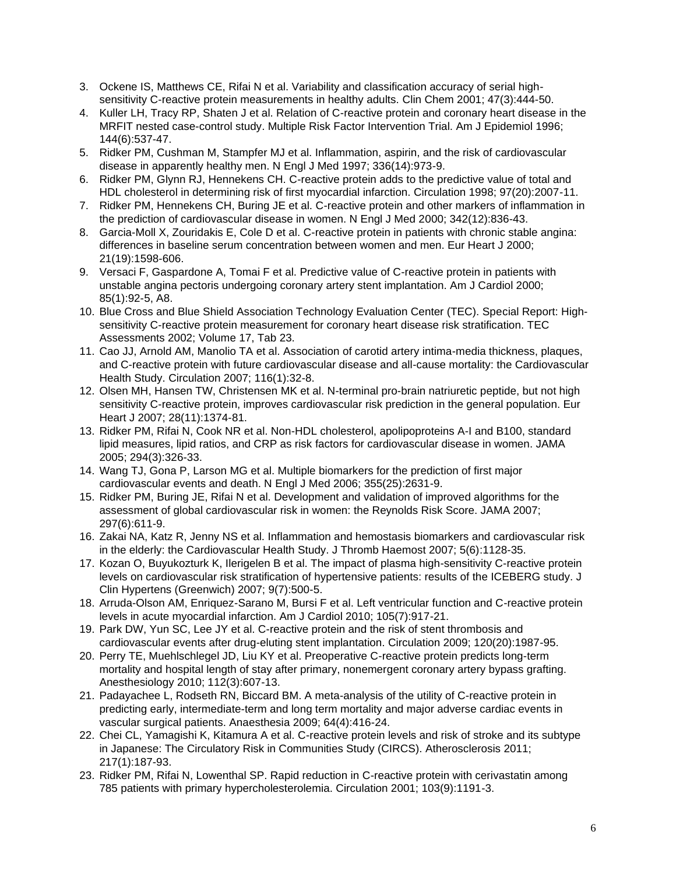- 3. Ockene IS, Matthews CE, Rifai N et al. Variability and classification accuracy of serial highsensitivity C-reactive protein measurements in healthy adults. Clin Chem 2001; 47(3):444-50.
- 4. Kuller LH, Tracy RP, Shaten J et al. Relation of C-reactive protein and coronary heart disease in the MRFIT nested case-control study. Multiple Risk Factor Intervention Trial. Am J Epidemiol 1996; 144(6):537-47.
- 5. Ridker PM, Cushman M, Stampfer MJ et al. Inflammation, aspirin, and the risk of cardiovascular disease in apparently healthy men. N Engl J Med 1997; 336(14):973-9.
- 6. Ridker PM, Glynn RJ, Hennekens CH. C-reactive protein adds to the predictive value of total and HDL cholesterol in determining risk of first myocardial infarction. Circulation 1998; 97(20):2007-11.
- 7. Ridker PM, Hennekens CH, Buring JE et al. C-reactive protein and other markers of inflammation in the prediction of cardiovascular disease in women. N Engl J Med 2000; 342(12):836-43.
- 8. Garcia-Moll X, Zouridakis E, Cole D et al. C-reactive protein in patients with chronic stable angina: differences in baseline serum concentration between women and men. Eur Heart J 2000; 21(19):1598-606.
- 9. Versaci F, Gaspardone A, Tomai F et al. Predictive value of C-reactive protein in patients with unstable angina pectoris undergoing coronary artery stent implantation. Am J Cardiol 2000; 85(1):92-5, A8.
- 10. Blue Cross and Blue Shield Association Technology Evaluation Center (TEC). Special Report: Highsensitivity C-reactive protein measurement for coronary heart disease risk stratification. TEC Assessments 2002; Volume 17, Tab 23.
- 11. Cao JJ, Arnold AM, Manolio TA et al. Association of carotid artery intima-media thickness, plaques, and C-reactive protein with future cardiovascular disease and all-cause mortality: the Cardiovascular Health Study. Circulation 2007; 116(1):32-8.
- 12. Olsen MH, Hansen TW, Christensen MK et al. N-terminal pro-brain natriuretic peptide, but not high sensitivity C-reactive protein, improves cardiovascular risk prediction in the general population. Eur Heart J 2007; 28(11):1374-81.
- 13. Ridker PM, Rifai N, Cook NR et al. Non-HDL cholesterol, apolipoproteins A-I and B100, standard lipid measures, lipid ratios, and CRP as risk factors for cardiovascular disease in women. JAMA 2005; 294(3):326-33.
- 14. Wang TJ, Gona P, Larson MG et al. Multiple biomarkers for the prediction of first major cardiovascular events and death. N Engl J Med 2006; 355(25):2631-9.
- 15. Ridker PM, Buring JE, Rifai N et al. Development and validation of improved algorithms for the assessment of global cardiovascular risk in women: the Reynolds Risk Score. JAMA 2007; 297(6):611-9.
- 16. Zakai NA, Katz R, Jenny NS et al. Inflammation and hemostasis biomarkers and cardiovascular risk in the elderly: the Cardiovascular Health Study. J Thromb Haemost 2007; 5(6):1128-35.
- 17. Kozan O, Buyukozturk K, Ilerigelen B et al. The impact of plasma high-sensitivity C-reactive protein levels on cardiovascular risk stratification of hypertensive patients: results of the ICEBERG study. J Clin Hypertens (Greenwich) 2007; 9(7):500-5.
- 18. Arruda-Olson AM, Enriquez-Sarano M, Bursi F et al. Left ventricular function and C-reactive protein levels in acute myocardial infarction. Am J Cardiol 2010; 105(7):917-21.
- 19. Park DW, Yun SC, Lee JY et al. C-reactive protein and the risk of stent thrombosis and cardiovascular events after drug-eluting stent implantation. Circulation 2009; 120(20):1987-95.
- 20. Perry TE, Muehlschlegel JD, Liu KY et al. Preoperative C-reactive protein predicts long-term mortality and hospital length of stay after primary, nonemergent coronary artery bypass grafting. Anesthesiology 2010; 112(3):607-13.
- 21. Padayachee L, Rodseth RN, Biccard BM. A meta-analysis of the utility of C-reactive protein in predicting early, intermediate-term and long term mortality and major adverse cardiac events in vascular surgical patients. Anaesthesia 2009; 64(4):416-24.
- 22. Chei CL, Yamagishi K, Kitamura A et al. C-reactive protein levels and risk of stroke and its subtype in Japanese: The Circulatory Risk in Communities Study (CIRCS). Atherosclerosis 2011; 217(1):187-93.
- 23. Ridker PM, Rifai N, Lowenthal SP. Rapid reduction in C-reactive protein with cerivastatin among 785 patients with primary hypercholesterolemia. Circulation 2001; 103(9):1191-3.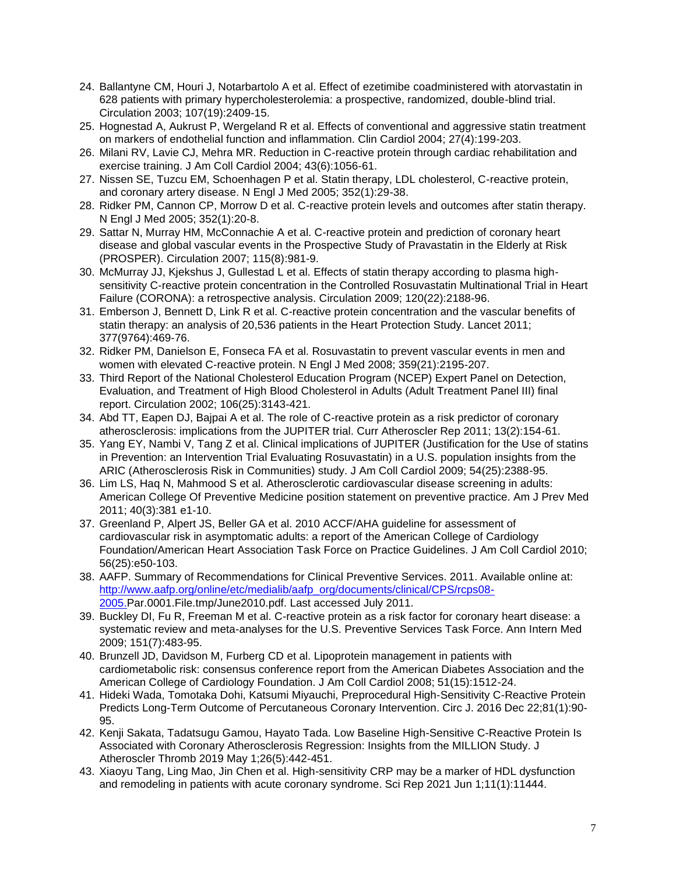- 24. Ballantyne CM, Houri J, Notarbartolo A et al. Effect of ezetimibe coadministered with atorvastatin in 628 patients with primary hypercholesterolemia: a prospective, randomized, double-blind trial. Circulation 2003; 107(19):2409-15.
- 25. Hognestad A, Aukrust P, Wergeland R et al. Effects of conventional and aggressive statin treatment on markers of endothelial function and inflammation. Clin Cardiol 2004; 27(4):199-203.
- 26. Milani RV, Lavie CJ, Mehra MR. Reduction in C-reactive protein through cardiac rehabilitation and exercise training. J Am Coll Cardiol 2004; 43(6):1056-61.
- 27. Nissen SE, Tuzcu EM, Schoenhagen P et al. Statin therapy, LDL cholesterol, C-reactive protein, and coronary artery disease. N Engl J Med 2005; 352(1):29-38.
- 28. Ridker PM, Cannon CP, Morrow D et al. C-reactive protein levels and outcomes after statin therapy. N Engl J Med 2005; 352(1):20-8.
- 29. Sattar N, Murray HM, McConnachie A et al. C-reactive protein and prediction of coronary heart disease and global vascular events in the Prospective Study of Pravastatin in the Elderly at Risk (PROSPER). Circulation 2007; 115(8):981-9.
- 30. McMurray JJ, Kjekshus J, Gullestad L et al. Effects of statin therapy according to plasma highsensitivity C-reactive protein concentration in the Controlled Rosuvastatin Multinational Trial in Heart Failure (CORONA): a retrospective analysis. Circulation 2009; 120(22):2188-96.
- 31. Emberson J, Bennett D, Link R et al. C-reactive protein concentration and the vascular benefits of statin therapy: an analysis of 20,536 patients in the Heart Protection Study. Lancet 2011; 377(9764):469-76.
- 32. Ridker PM, Danielson E, Fonseca FA et al. Rosuvastatin to prevent vascular events in men and women with elevated C-reactive protein. N Engl J Med 2008; 359(21):2195-207.
- 33. Third Report of the National Cholesterol Education Program (NCEP) Expert Panel on Detection, Evaluation, and Treatment of High Blood Cholesterol in Adults (Adult Treatment Panel III) final report. Circulation 2002; 106(25):3143-421.
- 34. Abd TT, Eapen DJ, Bajpai A et al. The role of C-reactive protein as a risk predictor of coronary atherosclerosis: implications from the JUPITER trial. Curr Atheroscler Rep 2011; 13(2):154-61.
- 35. Yang EY, Nambi V, Tang Z et al. Clinical implications of JUPITER (Justification for the Use of statins in Prevention: an Intervention Trial Evaluating Rosuvastatin) in a U.S. population insights from the ARIC (Atherosclerosis Risk in Communities) study. J Am Coll Cardiol 2009; 54(25):2388-95.
- 36. Lim LS, Haq N, Mahmood S et al. Atherosclerotic cardiovascular disease screening in adults: American College Of Preventive Medicine position statement on preventive practice. Am J Prev Med 2011; 40(3):381 e1-10.
- 37. Greenland P, Alpert JS, Beller GA et al. 2010 ACCF/AHA guideline for assessment of cardiovascular risk in asymptomatic adults: a report of the American College of Cardiology Foundation/American Heart Association Task Force on Practice Guidelines. J Am Coll Cardiol 2010; 56(25):e50-103.
- 38. AAFP. Summary of Recommendations for Clinical Preventive Services. 2011. Available online at: [http://www.aafp.org/online/etc/medialib/aafp\\_org/documents/clinical/CPS/rcps08-](http://www.aafp.org/online/etc/medialib/aafp_org/documents/clinical/CPS/rcps08-2005.) [2005.P](http://www.aafp.org/online/etc/medialib/aafp_org/documents/clinical/CPS/rcps08-2005.)ar.0001.File.tmp/June2010.pdf. Last accessed July 2011.
- 39. Buckley DI, Fu R, Freeman M et al. C-reactive protein as a risk factor for coronary heart disease: a systematic review and meta-analyses for the U.S. Preventive Services Task Force. Ann Intern Med 2009; 151(7):483-95.
- 40. Brunzell JD, Davidson M, Furberg CD et al. Lipoprotein management in patients with cardiometabolic risk: consensus conference report from the American Diabetes Association and the American College of Cardiology Foundation. J Am Coll Cardiol 2008; 51(15):1512-24.
- 41. Hideki Wada, Tomotaka Dohi, Katsumi Miyauchi, Preprocedural High-Sensitivity C-Reactive Protein Predicts Long-Term Outcome of Percutaneous Coronary Intervention. Circ J. 2016 Dec 22;81(1):90- 95.
- 42. Kenji Sakata, Tadatsugu Gamou, Hayato Tada. Low Baseline High-Sensitive C-Reactive Protein Is Associated with Coronary Atherosclerosis Regression: Insights from the MILLION Study. J Atheroscler Thromb 2019 May 1;26(5):442-451.
- 43. Xiaoyu Tang, Ling Mao, Jin Chen et al. High-sensitivity CRP may be a marker of HDL dysfunction and remodeling in patients with acute coronary syndrome. Sci Rep 2021 Jun 1;11(1):11444.